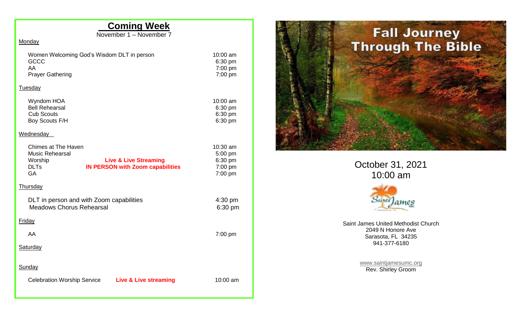## **Coming Week**

 $10:00$  am 6:30 pm  $7:00$  pm  $7:00 \text{ pm}$ 

November 1 – November 7

## **Monday**

| Women Welcoming God's Wisdom DLT in person |  |
|--------------------------------------------|--|
| GCCC.                                      |  |
| AA                                         |  |
| <b>Prayer Gathering</b>                    |  |

## Tuesday

| Wyndom HOA            | 10:00 $am$        |
|-----------------------|-------------------|
| <b>Bell Rehearsal</b> | $6:30 \text{ pm}$ |
| Cub Scouts            | 6:30 pm           |
| Boy Scouts F/H        | $6:30 \text{ pm}$ |

## **Wednesday**

| <b>Chimes at The Haven</b><br>Music Rehearsal |  |                                                                             | $10:30$ am<br>5:00 pm |
|-----------------------------------------------|--|-----------------------------------------------------------------------------|-----------------------|
| Worship<br><b>DLTs</b>                        |  | <b>Live &amp; Live Streaming</b><br><b>IN PERSON with Zoom capabilities</b> | 6:30 pm<br>$7:00$ pm  |
| <b>GA</b>                                     |  |                                                                             | 7:00 pm               |
| <u>Thursday</u>                               |  |                                                                             |                       |
| DLT in person and with Zoom capabilities      |  |                                                                             | $4:30 \text{ pm}$     |
| <b>Meadows Chorus Rehearsal</b>               |  |                                                                             | 6:30 pm               |
| <b>Friday</b>                                 |  |                                                                             |                       |
| AA                                            |  |                                                                             | 7:00 pm               |
| Saturday                                      |  |                                                                             |                       |
| <b>Sunday</b>                                 |  |                                                                             |                       |
| <b>Celebration Worship Service</b>            |  | Live & Live streaming                                                       | $10:00$ am            |
|                                               |  |                                                                             |                       |



October 31, 2021 10:00 am



Saint James United Methodist Church 2049 N Honore Ave Sarasota, FL 34235 941-377-6180

> [www.saintjamesumc.org](http://www.saintjamesumc.org/) Rev. Shirley Groom